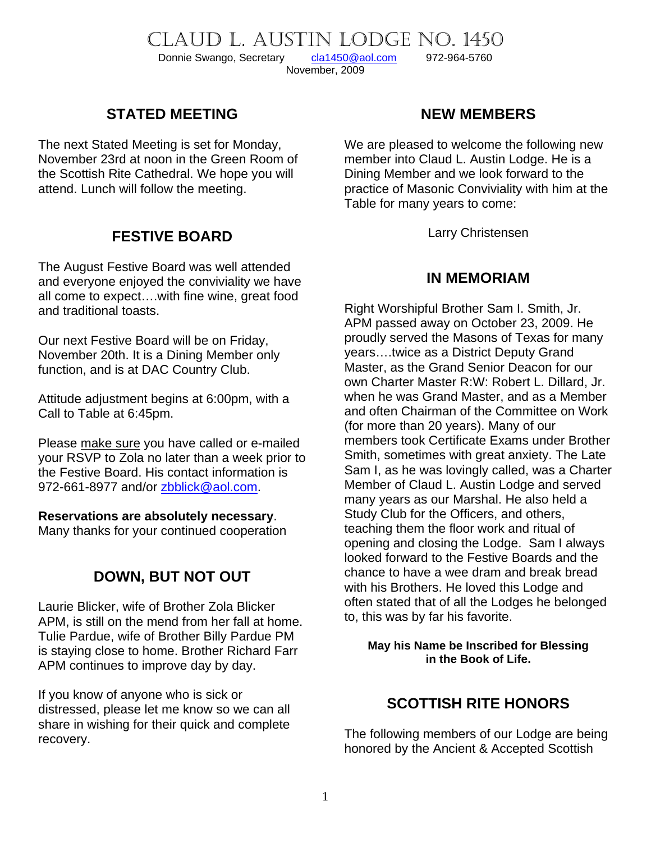# CLAUD L. AUSTIN LODGE NO. 1450<br>Donnie Swango, Secretary cla1450@aol.com 972-964-5760 Donnie Swango, Secretary [cla1450@aol.com](mailto:cla1450@aol.com) 972-964-5760

November, 2009

## **STATED MEETING**

The next Stated Meeting is set for Monday, November 23rd at noon in the Green Room of the Scottish Rite Cathedral. We hope you will attend. Lunch will follow the meeting.

## **FESTIVE BOARD**

The August Festive Board was well attended and everyone enjoyed the conviviality we have all come to expect….with fine wine, great food and traditional toasts.

Our next Festive Board will be on Friday, November 20th. It is a Dining Member only function, and is at DAC Country Club.

Attitude adjustment begins at 6:00pm, with a Call to Table at 6:45pm.

Please make sure you have called or e-mailed your RSVP to Zola no later than a week prior to the Festive Board. His contact information is 972-661-8977 and/or [zbblick@aol.com](mailto:zbblick@aol.com).

#### **Reservations are absolutely necessary**.

Many thanks for your continued cooperation

# **DOWN, BUT NOT OUT**

Laurie Blicker, wife of Brother Zola Blicker APM, is still on the mend from her fall at home. Tulie Pardue, wife of Brother Billy Pardue PM is staying close to home. Brother Richard Farr APM continues to improve day by day.

If you know of anyone who is sick or distressed, please let me know so we can all share in wishing for their quick and complete recovery.

## **NEW MEMBERS**

We are pleased to welcome the following new member into Claud L. Austin Lodge. He is a Dining Member and we look forward to the practice of Masonic Conviviality with him at the Table for many years to come:

Larry Christensen

### **IN MEMORIAM**

Right Worshipful Brother Sam I. Smith, Jr. APM passed away on October 23, 2009. He proudly served the Masons of Texas for many years….twice as a District Deputy Grand Master, as the Grand Senior Deacon for our own Charter Master R:W: Robert L. Dillard, Jr. when he was Grand Master, and as a Member and often Chairman of the Committee on Work (for more than 20 years). Many of our members took Certificate Exams under Brother Smith, sometimes with great anxiety. The Late Sam I, as he was lovingly called, was a Charter Member of Claud L. Austin Lodge and served many years as our Marshal. He also held a Study Club for the Officers, and others, teaching them the floor work and ritual of opening and closing the Lodge. Sam I always looked forward to the Festive Boards and the chance to have a wee dram and break bread with his Brothers. He loved this Lodge and often stated that of all the Lodges he belonged to, this was by far his favorite.

#### **May his Name be Inscribed for Blessing in the Book of Life.**

## **SCOTTISH RITE HONORS**

The following members of our Lodge are being honored by the Ancient & Accepted Scottish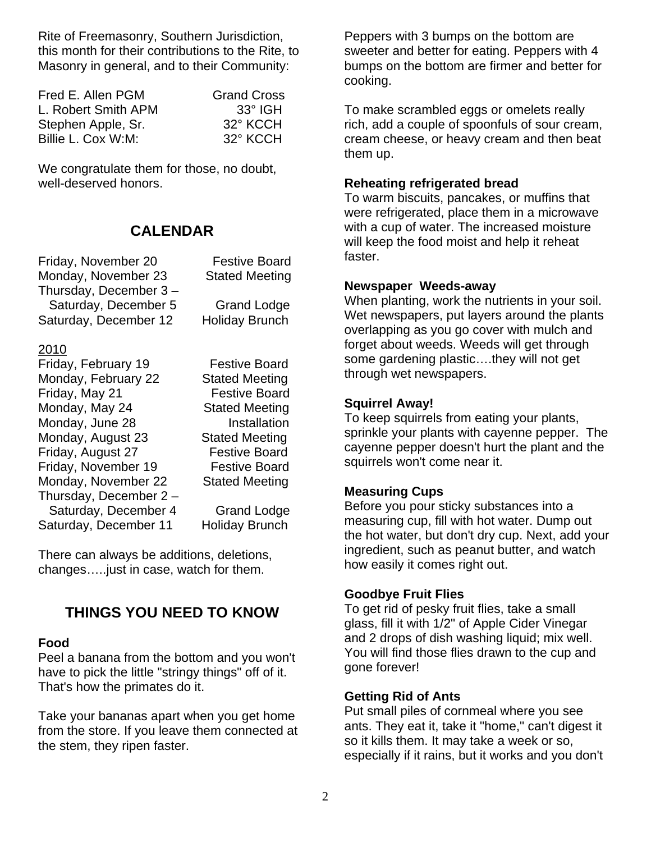Rite of Freemasonry, Southern Jurisdiction, this month for their contributions to the Rite, to Masonry in general, and to their Community:

| Fred E. Allen PGM   | <b>Grand Cross</b> |
|---------------------|--------------------|
| L. Robert Smith APM | $33^\circ$ IGH     |
| Stephen Apple, Sr.  | 32° KCCH           |
| Billie L. Cox W:M:  | 32° KCCH           |

We congratulate them for those, no doubt, well-deserved honors.

### **CALENDAR**

| <b>Festive Board</b>  |
|-----------------------|
| <b>Stated Meeting</b> |
|                       |
| <b>Grand Lodge</b>    |
| <b>Holiday Brunch</b> |
|                       |
|                       |

#### 2010

| Friday, February 19    | <b>Festive Board</b>  |
|------------------------|-----------------------|
| Monday, February 22    | <b>Stated Meeting</b> |
| Friday, May 21         | <b>Festive Board</b>  |
| Monday, May 24         | <b>Stated Meeting</b> |
| Monday, June 28        | Installation          |
| Monday, August 23      | <b>Stated Meeting</b> |
| Friday, August 27      | <b>Festive Board</b>  |
| Friday, November 19    | <b>Festive Board</b>  |
| Monday, November 22    | <b>Stated Meeting</b> |
| Thursday, December 2 - |                       |
| Saturday, December 4   | <b>Grand Lodge</b>    |
| Saturday, December 11  | Holiday Brunch        |

**Grand Lodge** 

There can always be additions, deletions, changes…..just in case, watch for them.

## **THINGS YOU NEED TO KNOW**

#### **Food**

Peel a banana from the bottom and you won't have to pick the little "stringy things" off of it. That's how the primates do it.

Take your bananas apart when you get home from the store. If you leave them connected at the stem, they ripen faster.

Peppers with 3 bumps on the bottom are sweeter and better for eating. Peppers with 4 bumps on the bottom are firmer and better for cooking.

To make scrambled eggs or omelets really rich, add a couple of spoonfuls of sour cream, cream cheese, or heavy cream and then beat them up.

#### **Reheating refrigerated bread**

To warm biscuits, pancakes, or muffins that were refrigerated, place them in a microwave with a cup of water. The increased moisture will keep the food moist and help it reheat faster.

#### **Newspaper Weeds-away**

When planting, work the nutrients in your soil. Wet newspapers, put layers around the plants overlapping as you go cover with mulch and forget about weeds. Weeds will get through some gardening plastic….they will not get through wet newspapers.

#### **Squirrel Away!**

To keep squirrels from eating your plants, sprinkle your plants with cayenne pepper. The cayenne pepper doesn't hurt the plant and the squirrels won't come near it.

#### **Measuring Cups**

Before you pour sticky substances into a measuring cup, fill with hot water. Dump out the hot water, but don't dry cup. Next, add your ingredient, such as peanut butter, and watch how easily it comes right out.

#### **Goodbye Fruit Flies**

To get rid of pesky fruit flies, take a small glass, fill it with 1/2" of Apple Cider Vinegar and 2 drops of dish washing liquid; mix well. You will find those flies drawn to the cup and gone forever!

#### **Getting Rid of Ants**

Put small piles of cornmeal where you see ants. They eat it, take it "home," can't digest it so it kills them. It may take a week or so, especially if it rains, but it works and you don't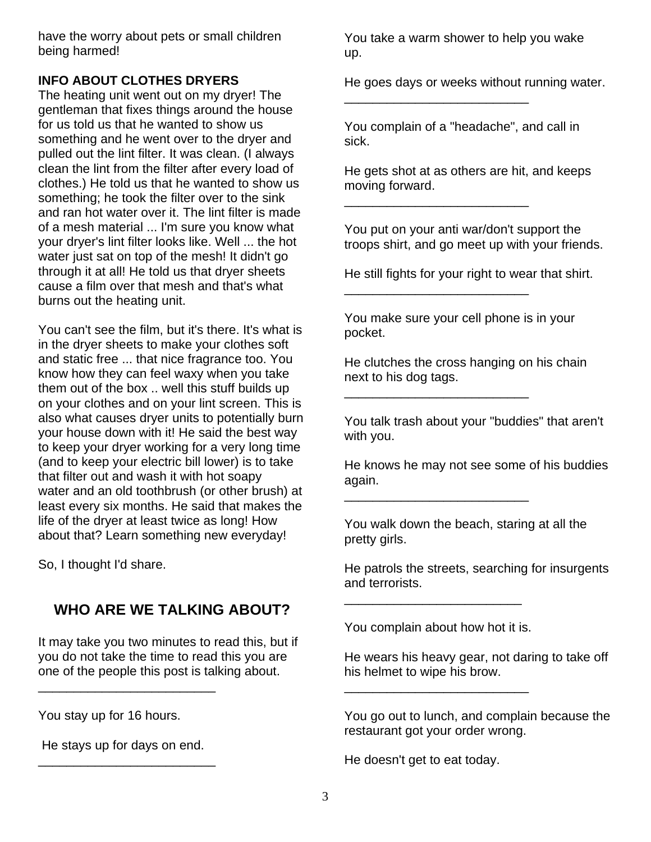have the worry about pets or small children being harmed!

### **INFO ABOUT CLOTHES DRYERS**

The heating unit went out on my dryer! The gentleman that fixes things around the house for us told us that he wanted to show us something and he went over to the dryer and pulled out the lint filter. It was clean. (I always clean the lint from the filter after every load of clothes.) He told us that he wanted to show us something; he took the filter over to the sink and ran hot water over it. The lint filter is made of a mesh material ... I'm sure you know what your dryer's lint filter looks like. Well ... the hot water just sat on top of the mesh! It didn't go through it at all! He told us that dryer sheets cause a film over that mesh and that's what burns out the heating unit.

You can't see the film, but it's there. It's what is in the dryer sheets to make your clothes soft and static free ... that nice fragrance too. You know how they can feel waxy when you take them out of the box .. well this stuff builds up on your clothes and on your lint screen. This is also what causes dryer units to potentially burn your house down with it! He said the best way to keep your dryer working for a very long time (and to keep your electric bill lower) is to take that filter out and wash it with hot soapy water and an old toothbrush (or other brush) at least every six months. He said that makes the life of the dryer at least twice as long! How about that? Learn something new everyday!

So, I thought I'd share.

# **WHO ARE WE TALKING ABOUT?**

It may take you two minutes to read this, but if you do not take the time to read this you are one of the people this post is talking about.

You stay up for 16 hours.

 He stays up for days on end. \_\_\_\_\_\_\_\_\_\_\_\_\_\_\_\_\_\_\_\_\_\_\_\_\_

\_\_\_\_\_\_\_\_\_\_\_\_\_\_\_\_\_\_\_\_\_\_\_\_\_

You take a warm shower to help you wake up.

He goes days or weeks without running water.

You complain of a "headache", and call in sick.

\_\_\_\_\_\_\_\_\_\_\_\_\_\_\_\_\_\_\_\_\_\_\_\_\_\_

\_\_\_\_\_\_\_\_\_\_\_\_\_\_\_\_\_\_\_\_\_\_\_\_\_\_

\_\_\_\_\_\_\_\_\_\_\_\_\_\_\_\_\_\_\_\_\_\_\_\_\_\_

\_\_\_\_\_\_\_\_\_\_\_\_\_\_\_\_\_\_\_\_\_\_\_\_\_\_

\_\_\_\_\_\_\_\_\_\_\_\_\_\_\_\_\_\_\_\_\_\_\_\_\_\_

He gets shot at as others are hit, and keeps moving forward.

You put on your anti war/don't support the troops shirt, and go meet up with your friends.

He still fights for your right to wear that shirt.

You make sure your cell phone is in your pocket.

He clutches the cross hanging on his chain next to his dog tags.

You talk trash about your "buddies" that aren't with you.

He knows he may not see some of his buddies again.

You walk down the beach, staring at all the pretty girls.

He patrols the streets, searching for insurgents and terrorists.

You complain about how hot it is.

\_\_\_\_\_\_\_\_\_\_\_\_\_\_\_\_\_\_\_\_\_\_\_\_\_\_

\_\_\_\_\_\_\_\_\_\_\_\_\_\_\_\_\_\_\_\_\_\_\_\_\_

He wears his heavy gear, not daring to take off his helmet to wipe his brow.

You go out to lunch, and complain because the restaurant got your order wrong.

He doesn't get to eat today.